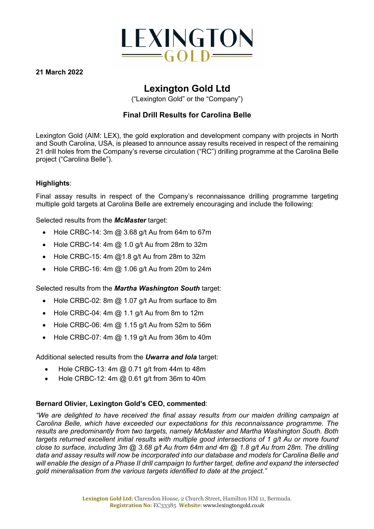

**21 March 2022**

## **Lexington Gold Ltd**

("Lexington Gold" or the "Company")

### **Final Drill Results for Carolina Belle**

Lexington Gold (AIM: LEX), the gold exploration and development company with projects in North and South Carolina, USA, is pleased to announce assay results received in respect of the remaining 21 drill holes from the Company's reverse circulation ("RC") drilling programme at the Carolina Belle project ("Carolina Belle").

#### **Highlights**:

Final assay results in respect of the Company's reconnaissance drilling programme targeting multiple gold targets at Carolina Belle are extremely encouraging and include the following:

Selected results from the *McMaster* target:

- Hole CRBC-14: 3m @ 3.68 g/t Au from 64m to 67m
- Hole CRBC-14: 4m  $@$  1.0 g/t Au from 28m to 32m
- Hole CRBC-15: 4m @1.8 g/t Au from 28m to 32m
- Hole CRBC-16: 4m @ 1.06 g/t Au from 20m to 24m

Selected results from the *Martha Washington South* target:

- Hole CRBC-02: 8m @ 1.07 g/t Au from surface to 8m
- Hole CRBC-04: 4m @ 1.1 g/t Au from 8m to 12m
- Hole CRBC-06: 4m  $@$  1.15 g/t Au from 52m to 56m
- Hole CRBC-07: 4m  $@$  1.19 g/t Au from 36m to 40m

Additional selected results from the *Uwarra and Iola* target:

- Hole CRBC-13:  $4m \omega$  0.71 g/t from 44m to 48m
- Hole CRBC-12:  $4m \omega$  0.61 g/t from 36m to 40m

#### **Bernard Olivier, Lexington Gold's CEO, commented**:

*"We are delighted to have received the final assay results from our maiden drilling campaign at Carolina Belle, which have exceeded our expectations for this reconnaissance programme. The results are predominantly from two targets, namely McMaster and Martha Washington South. Both targets returned excellent initial results with multiple good intersections of 1 g/t Au or more found close to surface, including 3m @ 3.68 g/t Au from 64m and 4m @ 1.8 g/t Au from 28m. The drilling data and assay results will now be incorporated into our database and models for Carolina Belle and will enable the design of a Phase II drill campaign to further target, define and expand the intersected gold mineralisation from the various targets identified to date at the project."*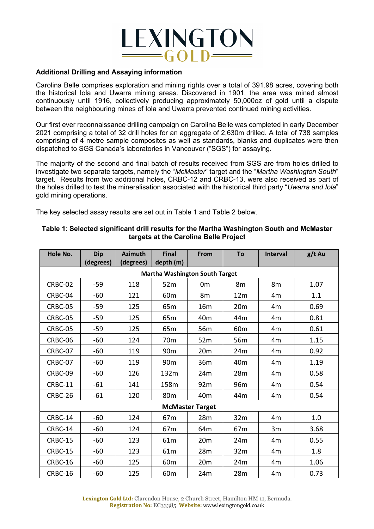

#### **Additional Drilling and Assaying information**

Carolina Belle comprises exploration and mining rights over a total of 391.98 acres, covering both the historical Iola and Uwarra mining areas. Discovered in 1901, the area was mined almost continuously until 1916, collectively producing approximately 50,000oz of gold until a dispute between the neighbouring mines of Iola and Uwarra prevented continued mining activities.

Our first ever reconnaissance drilling campaign on Carolina Belle was completed in early December 2021 comprising a total of 32 drill holes for an aggregate of 2,630m drilled. A total of 738 samples comprising of 4 metre sample composites as well as standards, blanks and duplicates were then dispatched to SGS Canada's laboratories in Vancouver ("SGS") for assaying.

The majority of the second and final batch of results received from SGS are from holes drilled to investigate two separate targets, namely the "*McMaster*" target and the "*Martha Washington South*" target. Results from two additional holes, CRBC-12 and CRBC-13, were also received as part of the holes drilled to test the mineralisation associated with the historical third party "*Uwarra and Iola*" gold mining operations.

The key selected assay results are set out in Table 1 and Table 2 below.

| Hole No.                              | <b>Dip</b><br>(degrees) | <b>Azimuth</b><br>(degrees) | <b>Final</b><br>depth (m) | From            | To              | <b>Interval</b> | g/t Au |
|---------------------------------------|-------------------------|-----------------------------|---------------------------|-----------------|-----------------|-----------------|--------|
| <b>Martha Washington South Target</b> |                         |                             |                           |                 |                 |                 |        |
| CRBC-02                               | $-59$                   | 118                         | 52m                       | 0 <sub>m</sub>  | 8m              | 8m              | 1.07   |
| CRBC-04                               | $-60$                   | 121                         | 60 <sub>m</sub>           | 8m              | 12 <sub>m</sub> | 4 <sub>m</sub>  | 1.1    |
| CRBC-05                               | $-59$                   | 125                         | 65 <sub>m</sub>           | 16m             | 20 <sub>m</sub> | 4 <sub>m</sub>  | 0.69   |
| CRBC-05                               | $-59$                   | 125                         | 65 <sub>m</sub>           | 40 <sub>m</sub> | 44m             | 4 <sub>m</sub>  | 0.81   |
| CRBC-05                               | $-59$                   | 125                         | 65m                       | 56m             | 60 <sub>m</sub> | 4 <sub>m</sub>  | 0.61   |
| CRBC-06                               | $-60$                   | 124                         | 70 <sub>m</sub>           | 52m             | 56m             | 4 <sub>m</sub>  | 1.15   |
| CRBC-07                               | $-60$                   | 119                         | 90 <sub>m</sub>           | 20m             | 24m             | 4 <sub>m</sub>  | 0.92   |
| CRBC-07                               | $-60$                   | 119                         | 90 <sub>m</sub>           | 36m             | 40 <sub>m</sub> | 4 <sub>m</sub>  | 1.19   |
| CRBC-09                               | $-60$                   | 126                         | 132m                      | 24m             | 28m             | 4 <sub>m</sub>  | 0.58   |
| CRBC-11                               | $-61$                   | 141                         | 158m                      | 92m             | 96m             | 4 <sub>m</sub>  | 0.54   |
| CRBC-26                               | $-61$                   | 120                         | 80 <sub>m</sub>           | 40 <sub>m</sub> | 44m             | 4 <sub>m</sub>  | 0.54   |
| <b>McMaster Target</b>                |                         |                             |                           |                 |                 |                 |        |
| CRBC-14                               | $-60$                   | 124                         | 67 <sub>m</sub>           | 28m             | 32m             | 4 <sub>m</sub>  | 1.0    |
| CRBC-14                               | -60                     | 124                         | 67 <sub>m</sub>           | 64m             | 67 <sub>m</sub> | 3m              | 3.68   |
| CRBC-15                               | $-60$                   | 123                         | 61m                       | 20 <sub>m</sub> | 24m             | 4 <sub>m</sub>  | 0.55   |
| CRBC-15                               | $-60$                   | 123                         | 61m                       | 28m             | 32m             | 4 <sub>m</sub>  | 1.8    |
| CRBC-16                               | $-60$                   | 125                         | 60 <sub>m</sub>           | 20m             | 24m             | 4 <sub>m</sub>  | 1.06   |
| CRBC-16                               | $-60$                   | 125                         | 60 <sub>m</sub>           | 24m             | 28m             | 4 <sub>m</sub>  | 0.73   |

#### **Table 1**: **Selected significant drill results for the Martha Washington South and McMaster targets at the Carolina Belle Project**

**Lexington Gold Ltd:** Clarendon House, 2 Church Street, Hamilton HM 11, Bermuda. **Registration No:** EC33385 **Website:** www.lexingtongold.co.uk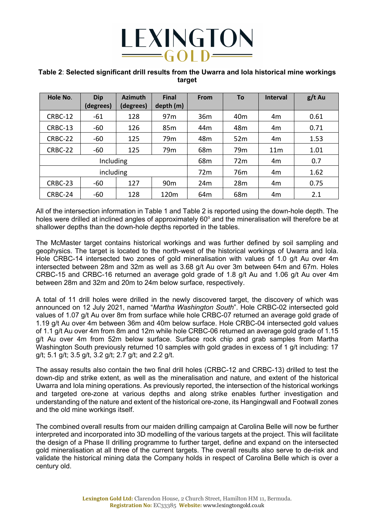

#### **Table 2**: **Selected significant drill results from the Uwarra and Iola historical mine workings target**

| Hole No.  | <b>Dip</b><br>(degrees) | <b>Azimuth</b><br>(degrees) | <b>Final</b><br>depth (m) | From            | <b>To</b>       | <b>Interval</b> | $g/t$ Au |
|-----------|-------------------------|-----------------------------|---------------------------|-----------------|-----------------|-----------------|----------|
| CRBC-12   | $-61$                   | 128                         | 97 <sub>m</sub>           | 36 <sub>m</sub> | 40 <sub>m</sub> | 4m              | 0.61     |
| CRBC-13   | $-60$                   | 126                         | 85 <sub>m</sub>           | 44 <sub>m</sub> | 48m             | 4m              | 0.71     |
| CRBC-22   | $-60$                   | 125                         | 79 <sub>m</sub>           | 48m             | 52m             | 4m              | 1.53     |
| CRBC-22   | $-60$                   | 125                         | 79 <sub>m</sub>           | 68 <sub>m</sub> | 79 <sub>m</sub> | 11 <sub>m</sub> | 1.01     |
| Including |                         |                             |                           | 68 <sub>m</sub> | 72m             | 4m              | 0.7      |
| including |                         |                             |                           | 72m             | 76 <sub>m</sub> | 4m              | 1.62     |
| CRBC-23   | -60                     | 127                         | 90 <sub>m</sub>           | 24m             | 28m             | 4m              | 0.75     |
| CRBC-24   | -60                     | 128                         | 120m                      | 64 <sub>m</sub> | 68m             | 4m              | 2.1      |

All of the intersection information in Table 1 and Table 2 is reported using the down-hole depth. The holes were drilled at inclined angles of approximately  $60^{\circ}$  and the mineralisation will therefore be at shallower depths than the down-hole depths reported in the tables.

The McMaster target contains historical workings and was further defined by soil sampling and geophysics. The target is located to the north-west of the historical workings of Uwarra and Iola. Hole CRBC-14 intersected two zones of gold mineralisation with values of 1.0 g/t Au over 4m intersected between 28m and 32m as well as 3.68 g/t Au over 3m between 64m and 67m. Holes CRBC-15 and CRBC-16 returned an average gold grade of 1.8 g/t Au and 1.06 g/t Au over 4m between 28m and 32m and 20m to 24m below surface, respectively.

A total of 11 drill holes were drilled in the newly discovered target, the discovery of which was announced on 12 July 2021, named "*Martha Washington South*". Hole CRBC-02 intersected gold values of 1.07 g/t Au over 8m from surface while hole CRBC-07 returned an average gold grade of 1.19 g/t Au over 4m between 36m and 40m below surface. Hole CRBC-04 intersected gold values of 1.1 g/t Au over 4m from 8m and 12m while hole CRBC-06 returned an average gold grade of 1.15 g/t Au over 4m from 52m below surface. Surface rock chip and grab samples from Martha Washington South previously returned 10 samples with gold grades in excess of 1 g/t including: 17 g/t; 5.1 g/t; 3.5 g/t, 3.2 g/t; 2.7 g/t; and 2.2 g/t.

The assay results also contain the two final drill holes (CRBC-12 and CRBC-13) drilled to test the down-dip and strike extent, as well as the mineralisation and nature, and extent of the historical Uwarra and Iola mining operations. As previously reported, the intersection of the historical workings and targeted ore-zone at various depths and along strike enables further investigation and understanding of the nature and extent of the historical ore-zone, its Hangingwall and Footwall zones and the old mine workings itself.

The combined overall results from our maiden drilling campaign at Carolina Belle will now be further interpreted and incorporated into 3D modelling of the various targets at the project. This will facilitate the design of a Phase II drilling programme to further target, define and expand on the intersected gold mineralisation at all three of the current targets. The overall results also serve to de-risk and validate the historical mining data the Company holds in respect of Carolina Belle which is over a century old.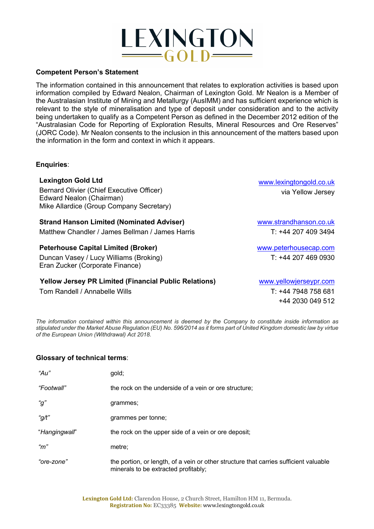# LEXINGTON  $\equiv$  GOLD $\equiv$

#### **Competent Person's Statement**

The information contained in this announcement that relates to exploration activities is based upon information compiled by Edward Nealon, Chairman of Lexington Gold. Mr Nealon is a Member of the Australasian Institute of Mining and Metallurgy (AusIMM) and has sufficient experience which is relevant to the style of mineralisation and type of deposit under consideration and to the activity being undertaken to qualify as a Competent Person as defined in the December 2012 edition of the "Australasian Code for Reporting of Exploration Results, Mineral Resources and Ore Reserves" (JORC Code). Mr Nealon consents to the inclusion in this announcement of the matters based upon the information in the form and context in which it appears.

#### **Enquiries**:

#### **Lexington Gold Ltd**

Bernard Olivier (Chief Executive Officer) Edward Nealon (Chairman) Mike Allardice (Group Company Secretary)

#### **Strand Hanson Limited (Nominated Adviser)**

Matthew Chandler / James Bellman / James Harris

#### **Peterhouse Capital Limited (Broker)**

Duncan Vasey / Lucy Williams (Broking) Eran Zucker (Corporate Finance)

#### **Yellow Jersey PR Limited (Financial Public Relations)**

Tom Randell / Annabelle Wills

www.lexingtongold.co.uk via Yellow Jersey

www.strandhanson.co.uk T: +44 207 409 3494

www.peterhousecap.com T: +44 207 469 0930

www.yellowjerseypr.com T: +44 7948 758 681 +44 2030 049 512

*The information contained within this announcement is deemed by the Company to constitute inside information as stipulated under the Market Abuse Regulation (EU) No. 596/2014 as it forms part of United Kingdom domestic law by virtue of the European Union (Withdrawal) Act 2018.*

#### **Glossary of technical terms**:

| " $Au$ "      | gold;                                                                                                                         |
|---------------|-------------------------------------------------------------------------------------------------------------------------------|
| "Footwall"    | the rock on the underside of a vein or ore structure;                                                                         |
| " $g$ "       | grammes;                                                                                                                      |
| "g/t"         | grammes per tonne;                                                                                                            |
| "Hangingwall" | the rock on the upper side of a vein or ore deposit;                                                                          |
| "m"           | metre;                                                                                                                        |
| "ore-zone"    | the portion, or length, of a vein or other structure that carries sufficient valuable<br>minerals to be extracted profitably; |